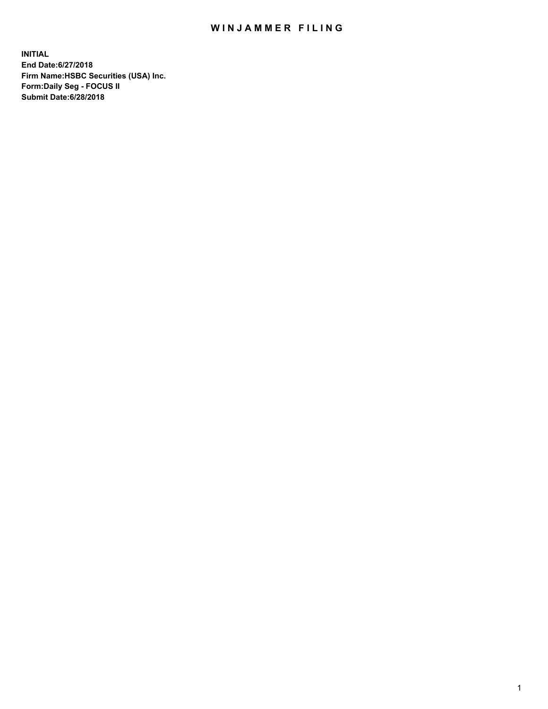## WIN JAMMER FILING

**INITIAL End Date:6/27/2018 Firm Name:HSBC Securities (USA) Inc. Form:Daily Seg - FOCUS II Submit Date:6/28/2018**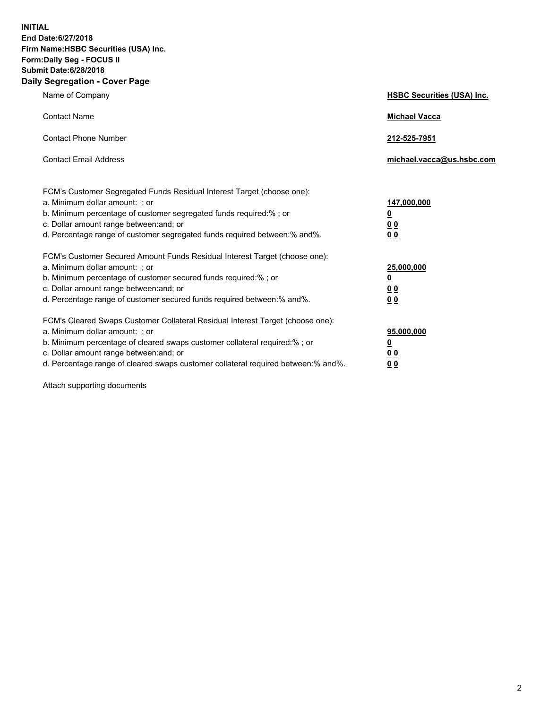**INITIAL End Date:6/27/2018 Firm Name:HSBC Securities (USA) Inc. Form:Daily Seg - FOCUS II Submit Date:6/28/2018 Daily Segregation - Cover Page**

| Name of Company                                                                                                                                                                                                                                                                                                                | <b>HSBC Securities (USA) Inc.</b>                                          |
|--------------------------------------------------------------------------------------------------------------------------------------------------------------------------------------------------------------------------------------------------------------------------------------------------------------------------------|----------------------------------------------------------------------------|
| <b>Contact Name</b>                                                                                                                                                                                                                                                                                                            | <b>Michael Vacca</b>                                                       |
| <b>Contact Phone Number</b>                                                                                                                                                                                                                                                                                                    | 212-525-7951                                                               |
| <b>Contact Email Address</b>                                                                                                                                                                                                                                                                                                   | michael.vacca@us.hsbc.com                                                  |
| FCM's Customer Segregated Funds Residual Interest Target (choose one):<br>a. Minimum dollar amount: : or<br>b. Minimum percentage of customer segregated funds required:% ; or<br>c. Dollar amount range between: and; or<br>d. Percentage range of customer segregated funds required between:% and%.                         | 147,000,000<br>$\overline{\mathbf{0}}$<br>0 <sub>0</sub><br>0 <sub>0</sub> |
| FCM's Customer Secured Amount Funds Residual Interest Target (choose one):<br>a. Minimum dollar amount: ; or<br>b. Minimum percentage of customer secured funds required:%; or<br>c. Dollar amount range between: and; or<br>d. Percentage range of customer secured funds required between:% and%.                            | 25,000,000<br><u>0</u><br>0 <sub>0</sub><br>00                             |
| FCM's Cleared Swaps Customer Collateral Residual Interest Target (choose one):<br>a. Minimum dollar amount: ; or<br>b. Minimum percentage of cleared swaps customer collateral required:% ; or<br>c. Dollar amount range between: and; or<br>d. Percentage range of cleared swaps customer collateral required between:% and%. | 95,000,000<br><u>0</u><br>00<br>0 <sub>0</sub>                             |

Attach supporting documents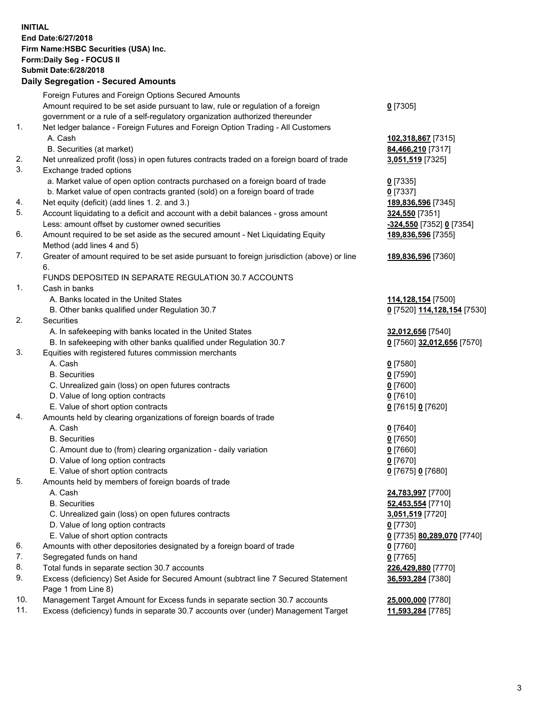**INITIAL End Date:6/27/2018 Firm Name:HSBC Securities (USA) Inc. Form:Daily Seg - FOCUS II Submit Date:6/28/2018 Daily Segregation - Secured Amounts** Foreign Futures and Foreign Options Secured Amounts Amount required to be set aside pursuant to law, rule or regulation of a foreign government or a rule of a self-regulatory organization authorized thereunder 1. Net ledger balance - Foreign Futures and Foreign Option Trading - All Customers A. Cash **102,318,867** [7315] B. Securities (at market) **84,466,210** [7317] 2. Net unrealized profit (loss) in open futures contracts traded on a foreign board of trade **3,051,519** [7325] 3. Exchange traded options a. Market value of open option contracts purchased on a foreign board of trade **0** [7335] b. Market value of open contracts granted (sold) on a foreign board of trade **0** [7337] 4. Net equity (deficit) (add lines 1. 2. and 3.) **189,836,596** [7345] 5. Account liquidating to a deficit and account with a debit balances - gross amount **324,550** [7351] Less: amount offset by customer owned securities **-324,550** [7352] **0** [7354]

- 6. Amount required to be set aside as the secured amount Net Liquidating Equity Method (add lines 4 and 5)
- 7. Greater of amount required to be set aside pursuant to foreign jurisdiction (above) or line 6.

## FUNDS DEPOSITED IN SEPARATE REGULATION 30.7 ACCOUNTS

1. Cash in banks

- A. Banks located in the United States **114,128,154** [7500]
- B. Other banks qualified under Regulation 30.7 **0** [7520] **114,128,154** [7530]
- 2. Securities
	- A. In safekeeping with banks located in the United States **32,012,656** [7540]
	- B. In safekeeping with other banks qualified under Regulation 30.7 **0** [7560] **32,012,656** [7570]
- 3. Equities with registered futures commission merchants
	- A. Cash **0** [7580]
	- B. Securities **0** [7590]
	- C. Unrealized gain (loss) on open futures contracts **0** [7600]
	- D. Value of long option contracts **0** [7610]
	- E. Value of short option contracts **0** [7615] **0** [7620]
- 4. Amounts held by clearing organizations of foreign boards of trade
	- A. Cash **0** [7640]
	- B. Securities **0** [7650]
	- C. Amount due to (from) clearing organization daily variation **0** [7660]
	- D. Value of long option contracts **0** [7670]
	- E. Value of short option contracts **0** [7675] **0** [7680]
- 5. Amounts held by members of foreign boards of trade
	-
	-
	- C. Unrealized gain (loss) on open futures contracts **3,051,519** [7720]
	- D. Value of long option contracts **0** [7730]
	- E. Value of short option contracts **0** [7735] **80,289,070** [7740]
- 6. Amounts with other depositories designated by a foreign board of trade **0** [7760]
- 7. Segregated funds on hand **0** [7765]
- 8. Total funds in separate section 30.7 accounts **226,429,880** [7770]
- 9. Excess (deficiency) Set Aside for Secured Amount (subtract line 7 Secured Statement Page 1 from Line 8)
- 10. Management Target Amount for Excess funds in separate section 30.7 accounts **25,000,000** [7780]
- 11. Excess (deficiency) funds in separate 30.7 accounts over (under) Management Target **11,593,284** [7785]

**189,836,596** [7355]

## **189,836,596** [7360]

 A. Cash **24,783,997** [7700] B. Securities **52,453,554** [7710] **36,593,284** [7380]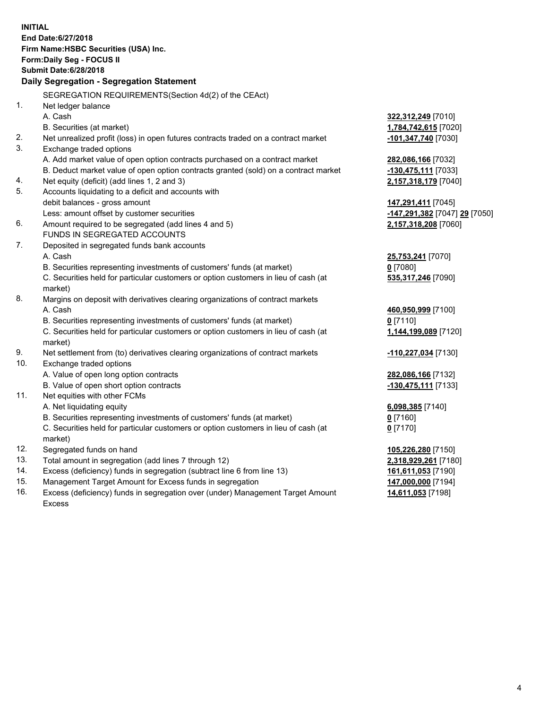|                | <b>INITIAL</b><br>End Date: 6/27/2018<br>Firm Name: HSBC Securities (USA) Inc.<br>Form: Daily Seg - FOCUS II<br><b>Submit Date:6/28/2018</b> |                                                                           |
|----------------|----------------------------------------------------------------------------------------------------------------------------------------------|---------------------------------------------------------------------------|
|                | Daily Segregation - Segregation Statement                                                                                                    |                                                                           |
|                |                                                                                                                                              |                                                                           |
|                | SEGREGATION REQUIREMENTS(Section 4d(2) of the CEAct)                                                                                         |                                                                           |
| 1 <sub>1</sub> | Net ledger balance                                                                                                                           |                                                                           |
|                | A. Cash                                                                                                                                      | 322,312,249 [7010]                                                        |
|                | B. Securities (at market)                                                                                                                    | 1,784,742,615 [7020]                                                      |
| 2.             | Net unrealized profit (loss) in open futures contracts traded on a contract market                                                           | -101,347,740 [7030]                                                       |
| 3.             | Exchange traded options                                                                                                                      |                                                                           |
|                | A. Add market value of open option contracts purchased on a contract market                                                                  | 282,086,166 [7032]                                                        |
|                | B. Deduct market value of open option contracts granted (sold) on a contract market                                                          | -130,475,111 [7033]                                                       |
| 4.<br>5.       | Net equity (deficit) (add lines 1, 2 and 3)                                                                                                  | 2,157,318,179 [7040]                                                      |
|                | Accounts liquidating to a deficit and accounts with                                                                                          |                                                                           |
|                | debit balances - gross amount                                                                                                                | 147,291,411 [7045]                                                        |
| 6.             | Less: amount offset by customer securities<br>Amount required to be segregated (add lines 4 and 5)                                           | <mark>-147,291,382</mark> [7047] <u>29</u> [7050]<br>2,157,318,208 [7060] |
|                | FUNDS IN SEGREGATED ACCOUNTS                                                                                                                 |                                                                           |
| 7.             | Deposited in segregated funds bank accounts                                                                                                  |                                                                           |
|                | A. Cash                                                                                                                                      | 25,753,241 [7070]                                                         |
|                | B. Securities representing investments of customers' funds (at market)                                                                       | $0$ [7080]                                                                |
|                | C. Securities held for particular customers or option customers in lieu of cash (at                                                          | 535,317,246 [7090]                                                        |
|                | market)                                                                                                                                      |                                                                           |
| 8.             | Margins on deposit with derivatives clearing organizations of contract markets                                                               |                                                                           |
|                | A. Cash                                                                                                                                      | 460,950,999 [7100]                                                        |
|                | B. Securities representing investments of customers' funds (at market)                                                                       | $0$ [7110]                                                                |
|                | C. Securities held for particular customers or option customers in lieu of cash (at                                                          | 1,144,199,089 [7120]                                                      |
|                | market)                                                                                                                                      |                                                                           |
| 9.             | Net settlement from (to) derivatives clearing organizations of contract markets                                                              | -110,227,034 [7130]                                                       |
| 10.            | Exchange traded options                                                                                                                      |                                                                           |
|                | A. Value of open long option contracts                                                                                                       | 282,086,166 [7132]                                                        |
|                | B. Value of open short option contracts                                                                                                      | -130,475,111 [7133]                                                       |
| 11.            | Net equities with other FCMs                                                                                                                 |                                                                           |
|                | A. Net liquidating equity                                                                                                                    | 6,098,385 [7140]                                                          |
|                | B. Securities representing investments of customers' funds (at market)                                                                       | $0$ [7160]                                                                |
|                | C. Securities held for particular customers or option customers in lieu of cash (at                                                          | $0$ [7170]                                                                |
|                | market)                                                                                                                                      |                                                                           |
| 12.            | Segregated funds on hand                                                                                                                     | 105,226,280 [7150]                                                        |
| 13.            | Total amount in segregation (add lines 7 through 12)                                                                                         | 2,318,929,261 [7180]                                                      |
| 14.            | Excess (deficiency) funds in segregation (subtract line 6 from line 13)                                                                      | 161,611,053 [7190]                                                        |
| 15.            | Management Target Amount for Excess funds in segregation                                                                                     | 147,000,000 [7194]                                                        |
| 16.            | Excess (deficiency) funds in segregation over (under) Management Target Amount                                                               | 14,611,053 [7198]                                                         |

16. Excess (deficiency) funds in segregation over (under) Management Target Amount Excess